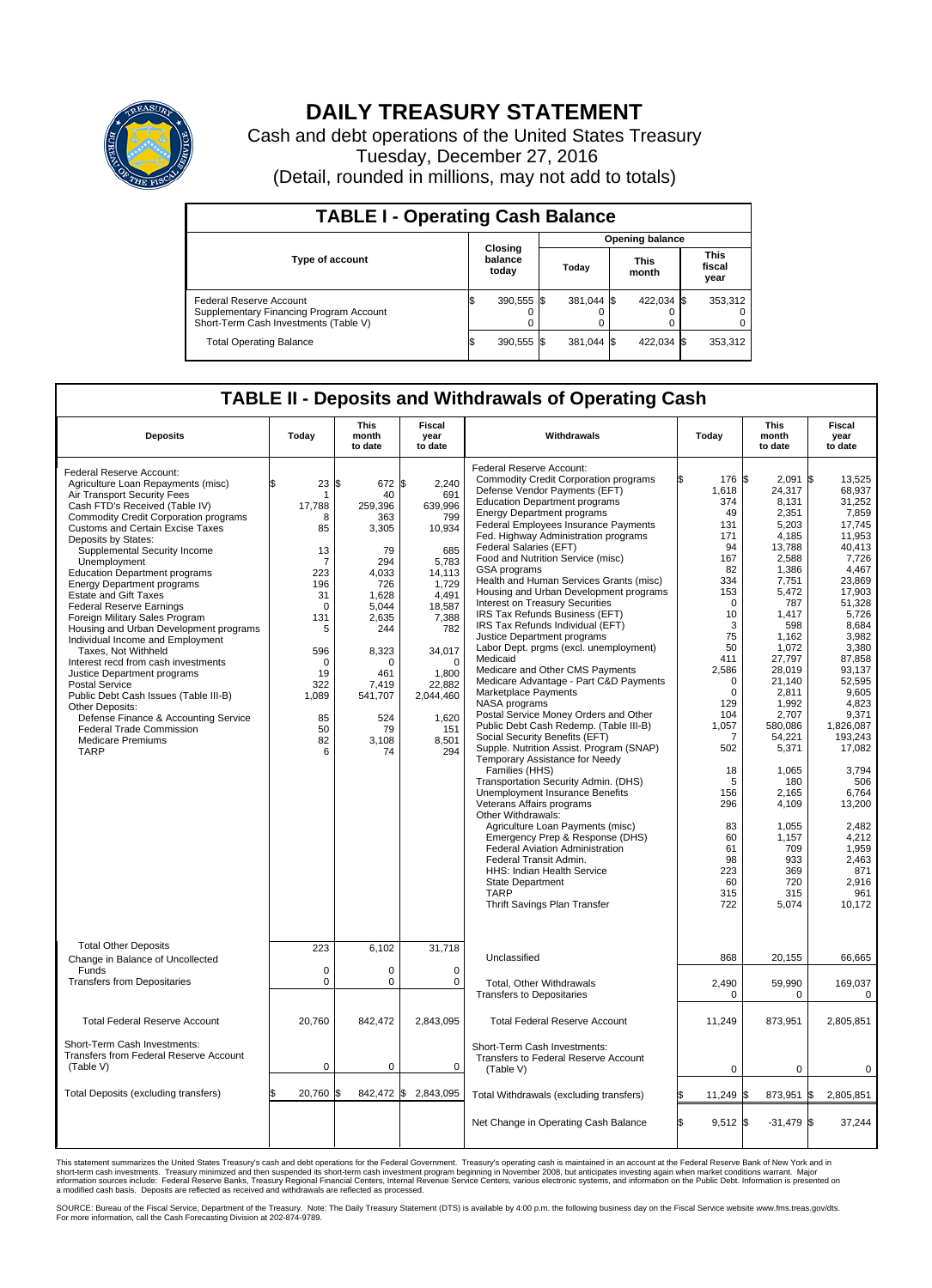

## **DAILY TREASURY STATEMENT**

Cash and debt operations of the United States Treasury Tuesday, December 27, 2016 (Detail, rounded in millions, may not add to totals)

| <b>TABLE I - Operating Cash Balance</b>                                                                     |     |                             |                        |            |  |                      |  |                               |  |  |  |
|-------------------------------------------------------------------------------------------------------------|-----|-----------------------------|------------------------|------------|--|----------------------|--|-------------------------------|--|--|--|
|                                                                                                             |     |                             | <b>Opening balance</b> |            |  |                      |  |                               |  |  |  |
| Type of account                                                                                             |     | Closing<br>balance<br>today |                        | Today      |  | <b>This</b><br>month |  | <b>This</b><br>fiscal<br>year |  |  |  |
| Federal Reserve Account<br>Supplementary Financing Program Account<br>Short-Term Cash Investments (Table V) |     | 390,555 \$                  |                        | 381.044 \$ |  | 422.034 \$           |  | 353,312                       |  |  |  |
| <b>Total Operating Balance</b>                                                                              | I\$ | 390,555 \$                  |                        | 381.044 \$ |  | 422,034 \$           |  | 353,312                       |  |  |  |

## **TABLE II - Deposits and Withdrawals of Operating Cash**

| <b>Deposits</b>                                                                                                                                                                                                                                                                                                                                                                                                                                                                                                                                                                                                                                                                                                                                                                                                                                                           | Today                                                                                                                                                           | <b>This</b><br>month<br>to date                                                                                                                                                    | <b>Fiscal</b><br>year<br>to date                                                                                                                                                                     | Withdrawals                                                                                                                                                                                                                                                                                                                                                                                                                                                                                                                                                                                                                                                                                                                                                                                                                                                                                                                                                                                                                                                                                                                                                                                                                                                                                                                                                                 | Today                                                                                                                                                                                                                                                                    | <b>This</b><br>month<br>to date                                                                                                                                                                                                                                                                                                   | Fiscal<br>year<br>to date                                                                                                                                                                                                                                                                                                                                       |
|---------------------------------------------------------------------------------------------------------------------------------------------------------------------------------------------------------------------------------------------------------------------------------------------------------------------------------------------------------------------------------------------------------------------------------------------------------------------------------------------------------------------------------------------------------------------------------------------------------------------------------------------------------------------------------------------------------------------------------------------------------------------------------------------------------------------------------------------------------------------------|-----------------------------------------------------------------------------------------------------------------------------------------------------------------|------------------------------------------------------------------------------------------------------------------------------------------------------------------------------------|------------------------------------------------------------------------------------------------------------------------------------------------------------------------------------------------------|-----------------------------------------------------------------------------------------------------------------------------------------------------------------------------------------------------------------------------------------------------------------------------------------------------------------------------------------------------------------------------------------------------------------------------------------------------------------------------------------------------------------------------------------------------------------------------------------------------------------------------------------------------------------------------------------------------------------------------------------------------------------------------------------------------------------------------------------------------------------------------------------------------------------------------------------------------------------------------------------------------------------------------------------------------------------------------------------------------------------------------------------------------------------------------------------------------------------------------------------------------------------------------------------------------------------------------------------------------------------------------|--------------------------------------------------------------------------------------------------------------------------------------------------------------------------------------------------------------------------------------------------------------------------|-----------------------------------------------------------------------------------------------------------------------------------------------------------------------------------------------------------------------------------------------------------------------------------------------------------------------------------|-----------------------------------------------------------------------------------------------------------------------------------------------------------------------------------------------------------------------------------------------------------------------------------------------------------------------------------------------------------------|
| Federal Reserve Account:<br>Agriculture Loan Repayments (misc)<br>Air Transport Security Fees<br>Cash FTD's Received (Table IV)<br><b>Commodity Credit Corporation programs</b><br><b>Customs and Certain Excise Taxes</b><br>Deposits by States:<br>Supplemental Security Income<br>Unemployment<br><b>Education Department programs</b><br><b>Energy Department programs</b><br><b>Estate and Gift Taxes</b><br><b>Federal Reserve Earnings</b><br>Foreign Military Sales Program<br>Housing and Urban Development programs<br>Individual Income and Employment<br>Taxes. Not Withheld<br>Interest recd from cash investments<br>Justice Department programs<br><b>Postal Service</b><br>Public Debt Cash Issues (Table III-B)<br>Other Deposits:<br>Defense Finance & Accounting Service<br><b>Federal Trade Commission</b><br><b>Medicare Premiums</b><br><b>TARP</b> | 23<br>\$<br>1<br>17,788<br>8<br>85<br>13<br>7<br>223<br>196<br>31<br>$\mathbf 0$<br>131<br>5<br>596<br>$\mathbf 0$<br>19<br>322<br>1,089<br>85<br>50<br>82<br>6 | 1\$<br>672 \$<br>40<br>259.396<br>363<br>3,305<br>79<br>294<br>4.033<br>726<br>1,628<br>5,044<br>2,635<br>244<br>8,323<br>O<br>461<br>7,419<br>541,707<br>524<br>79<br>3,108<br>74 | 2,240<br>691<br>639.996<br>799<br>10,934<br>685<br>5,783<br>14,113<br>1,729<br>4,491<br>18,587<br>7,388<br>782<br>34,017<br>$\Omega$<br>1,800<br>22,882<br>2,044,460<br>1,620<br>151<br>8,501<br>294 | Federal Reserve Account:<br><b>Commodity Credit Corporation programs</b><br>Defense Vendor Payments (EFT)<br><b>Education Department programs</b><br><b>Energy Department programs</b><br><b>Federal Employees Insurance Payments</b><br>Fed. Highway Administration programs<br>Federal Salaries (EFT)<br>Food and Nutrition Service (misc)<br>GSA programs<br>Health and Human Services Grants (misc)<br>Housing and Urban Development programs<br>Interest on Treasury Securities<br>IRS Tax Refunds Business (EFT)<br>IRS Tax Refunds Individual (EFT)<br>Justice Department programs<br>Labor Dept. prgms (excl. unemployment)<br>Medicaid<br>Medicare and Other CMS Payments<br>Medicare Advantage - Part C&D Payments<br>Marketplace Payments<br>NASA programs<br>Postal Service Money Orders and Other<br>Public Debt Cash Redemp. (Table III-B)<br>Social Security Benefits (EFT)<br>Supple. Nutrition Assist. Program (SNAP)<br>Temporary Assistance for Needy<br>Families (HHS)<br>Transportation Security Admin. (DHS)<br>Unemployment Insurance Benefits<br>Veterans Affairs programs<br>Other Withdrawals:<br>Agriculture Loan Payments (misc)<br>Emergency Prep & Response (DHS)<br>Federal Aviation Administration<br>Federal Transit Admin.<br><b>HHS: Indian Health Service</b><br><b>State Department</b><br><b>TARP</b><br>Thrift Savings Plan Transfer | 176 \$<br>1,618<br>374<br>49<br>131<br>171<br>94<br>167<br>82<br>334<br>153<br>$\Omega$<br>10<br>3<br>75<br>50<br>411<br>2,586<br>$\Omega$<br>$\mathbf 0$<br>129<br>104<br>1,057<br>7<br>502<br>18<br>5<br>156<br>296<br>83<br>60<br>61<br>98<br>223<br>60<br>315<br>722 | 2.091<br>24,317<br>8,131<br>2,351<br>5,203<br>4,185<br>13,788<br>2,588<br>1,386<br>7,751<br>5,472<br>787<br>1,417<br>598<br>1.162<br>1,072<br>27,797<br>28,019<br>21.140<br>2,811<br>1,992<br>2,707<br>580,086<br>54,221<br>5,371<br>1,065<br>180<br>2,165<br>4,109<br>1,055<br>1,157<br>709<br>933<br>369<br>720<br>315<br>5,074 | l\$<br>13,525<br>68.937<br>31,252<br>7,859<br>17.745<br>11,953<br>40,413<br>7,726<br>4,467<br>23,869<br>17,903<br>51,328<br>5,726<br>8,684<br>3.982<br>3,380<br>87,858<br>93,137<br>52.595<br>9,605<br>4.823<br>9,371<br>1,826,087<br>193,243<br>17,082<br>3,794<br>506<br>6,764<br>13,200<br>2,482<br>4,212<br>1,959<br>2,463<br>871<br>2,916<br>961<br>10,172 |
| <b>Total Other Deposits</b><br>Change in Balance of Uncollected<br>Funds<br><b>Transfers from Depositaries</b>                                                                                                                                                                                                                                                                                                                                                                                                                                                                                                                                                                                                                                                                                                                                                            | 223<br>$\mathbf 0$<br>$\mathbf 0$                                                                                                                               | 6,102<br>0<br>0                                                                                                                                                                    | 31.718<br>0<br>$\mathbf 0$                                                                                                                                                                           | Unclassified<br>Total, Other Withdrawals                                                                                                                                                                                                                                                                                                                                                                                                                                                                                                                                                                                                                                                                                                                                                                                                                                                                                                                                                                                                                                                                                                                                                                                                                                                                                                                                    | 868<br>2,490                                                                                                                                                                                                                                                             | 20,155<br>59,990                                                                                                                                                                                                                                                                                                                  | 66.665<br>169,037                                                                                                                                                                                                                                                                                                                                               |
|                                                                                                                                                                                                                                                                                                                                                                                                                                                                                                                                                                                                                                                                                                                                                                                                                                                                           |                                                                                                                                                                 |                                                                                                                                                                                    |                                                                                                                                                                                                      | <b>Transfers to Depositaries</b>                                                                                                                                                                                                                                                                                                                                                                                                                                                                                                                                                                                                                                                                                                                                                                                                                                                                                                                                                                                                                                                                                                                                                                                                                                                                                                                                            | 0                                                                                                                                                                                                                                                                        | 0                                                                                                                                                                                                                                                                                                                                 | 0                                                                                                                                                                                                                                                                                                                                                               |
| <b>Total Federal Reserve Account</b><br>Short-Term Cash Investments:                                                                                                                                                                                                                                                                                                                                                                                                                                                                                                                                                                                                                                                                                                                                                                                                      | 20,760                                                                                                                                                          | 842,472                                                                                                                                                                            | 2,843,095                                                                                                                                                                                            | <b>Total Federal Reserve Account</b>                                                                                                                                                                                                                                                                                                                                                                                                                                                                                                                                                                                                                                                                                                                                                                                                                                                                                                                                                                                                                                                                                                                                                                                                                                                                                                                                        | 11,249                                                                                                                                                                                                                                                                   | 873,951                                                                                                                                                                                                                                                                                                                           | 2,805,851                                                                                                                                                                                                                                                                                                                                                       |
| Transfers from Federal Reserve Account<br>(Table V)                                                                                                                                                                                                                                                                                                                                                                                                                                                                                                                                                                                                                                                                                                                                                                                                                       | $\pmb{0}$                                                                                                                                                       | 0                                                                                                                                                                                  | $\mathbf 0$                                                                                                                                                                                          | Short-Term Cash Investments:<br>Transfers to Federal Reserve Account<br>(Table V)                                                                                                                                                                                                                                                                                                                                                                                                                                                                                                                                                                                                                                                                                                                                                                                                                                                                                                                                                                                                                                                                                                                                                                                                                                                                                           | $\mathbf 0$                                                                                                                                                                                                                                                              | $\Omega$                                                                                                                                                                                                                                                                                                                          | 0                                                                                                                                                                                                                                                                                                                                                               |
| Total Deposits (excluding transfers)                                                                                                                                                                                                                                                                                                                                                                                                                                                                                                                                                                                                                                                                                                                                                                                                                                      | 20,760<br>\$                                                                                                                                                    | 842,472 \$<br>ß.                                                                                                                                                                   | 2,843,095                                                                                                                                                                                            | Total Withdrawals (excluding transfers)                                                                                                                                                                                                                                                                                                                                                                                                                                                                                                                                                                                                                                                                                                                                                                                                                                                                                                                                                                                                                                                                                                                                                                                                                                                                                                                                     | 11,249 \$                                                                                                                                                                                                                                                                | 873,951                                                                                                                                                                                                                                                                                                                           | 2,805,851<br>1\$                                                                                                                                                                                                                                                                                                                                                |
|                                                                                                                                                                                                                                                                                                                                                                                                                                                                                                                                                                                                                                                                                                                                                                                                                                                                           |                                                                                                                                                                 |                                                                                                                                                                                    |                                                                                                                                                                                                      | Net Change in Operating Cash Balance                                                                                                                                                                                                                                                                                                                                                                                                                                                                                                                                                                                                                                                                                                                                                                                                                                                                                                                                                                                                                                                                                                                                                                                                                                                                                                                                        | Ŝ.<br>$9.512$ \$                                                                                                                                                                                                                                                         | $-31,479$ \$                                                                                                                                                                                                                                                                                                                      | 37,244                                                                                                                                                                                                                                                                                                                                                          |

This statement summarizes the United States Treasury's cash and debt operations for the Federal Government. Treasury's operating cash is maintained in an account at the Federal Reserve Bank of New York and in<br>short-term ca

SOURCE: Bureau of the Fiscal Service, Department of the Treasury. Note: The Daily Treasury Statement (DTS) is available by 4:00 p.m. the following business day on the Fiscal Service website www.fms.treas.gov/dts.<br>For more